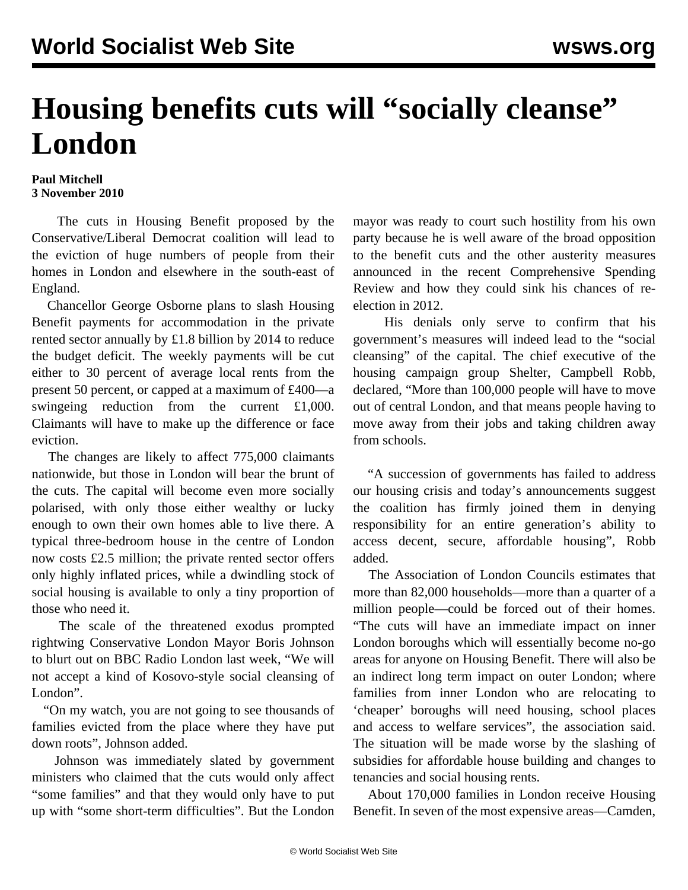## **Housing benefits cuts will "socially cleanse" London**

## **Paul Mitchell 3 November 2010**

 The cuts in Housing Benefit proposed by the Conservative/Liberal Democrat coalition will lead to the eviction of huge numbers of people from their homes in London and elsewhere in the south-east of England.

 Chancellor George Osborne plans to slash Housing Benefit payments for accommodation in the private rented sector annually by £1.8 billion by 2014 to reduce the budget deficit. The weekly payments will be cut either to 30 percent of average local rents from the present 50 percent, or capped at a maximum of £400—a swingeing reduction from the current £1,000. Claimants will have to make up the difference or face eviction.

 The changes are likely to affect 775,000 claimants nationwide, but those in London will bear the brunt of the cuts. The capital will become even more socially polarised, with only those either wealthy or lucky enough to own their own homes able to live there. A typical three-bedroom house in the centre of London now costs £2.5 million; the private rented sector offers only highly inflated prices, while a dwindling stock of social housing is available to only a tiny proportion of those who need it.

 The scale of the threatened exodus prompted rightwing Conservative London Mayor Boris Johnson to blurt out on BBC Radio London last week, "We will not accept a kind of Kosovo-style social cleansing of London".

 "On my watch, you are not going to see thousands of families evicted from the place where they have put down roots", Johnson added.

 Johnson was immediately slated by government ministers who claimed that the cuts would only affect "some families" and that they would only have to put up with "some short-term difficulties". But the London mayor was ready to court such hostility from his own party because he is well aware of the broad opposition to the benefit cuts and the other austerity measures announced in the recent Comprehensive Spending Review and how they could sink his chances of reelection in 2012.

 His denials only serve to confirm that his government's measures will indeed lead to the "social cleansing" of the capital. The chief executive of the housing campaign group Shelter, Campbell Robb, declared, "More than 100,000 people will have to move out of central London, and that means people having to move away from their jobs and taking children away from schools.

 "A succession of governments has failed to address our housing crisis and today's announcements suggest the coalition has firmly joined them in denying responsibility for an entire generation's ability to access decent, secure, affordable housing", Robb added.

 The Association of London Councils estimates that more than 82,000 households—more than a quarter of a million people—could be forced out of their homes. "The cuts will have an immediate impact on inner London boroughs which will essentially become no-go areas for anyone on Housing Benefit. There will also be an indirect long term impact on outer London; where families from inner London who are relocating to 'cheaper' boroughs will need housing, school places and access to welfare services", the association said. The situation will be made worse by the slashing of subsidies for affordable house building and changes to tenancies and social housing rents.

 About 170,000 families in London receive Housing Benefit. In seven of the most expensive areas—Camden,